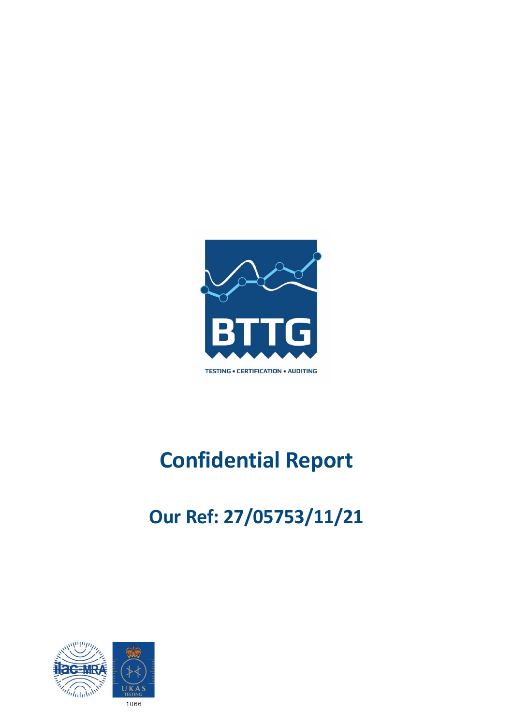

# **Confidential Report**

## **Our Ref: 27/05753/11/21**

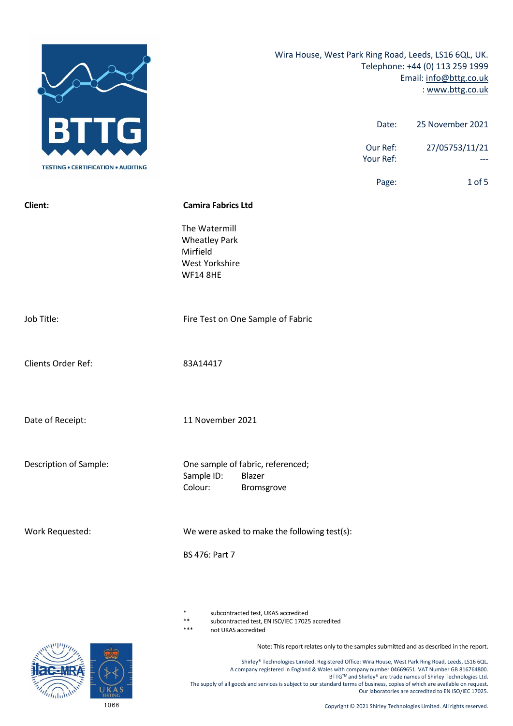|                                           |                                                                                               |                       | Wira House, West Park Ring Road, Leeds, LS16 6QL, UK.<br>Telephone: +44 (0) 113 259 1999<br>Email: info@bttg.co.uk<br>: www.bttg.co.uk |
|-------------------------------------------|-----------------------------------------------------------------------------------------------|-----------------------|----------------------------------------------------------------------------------------------------------------------------------------|
| G<br>H                                    |                                                                                               | Date:                 | 25 November 2021                                                                                                                       |
| <b>TESTING • CERTIFICATION • AUDITING</b> |                                                                                               | Our Ref:<br>Your Ref: | 27/05753/11/21                                                                                                                         |
|                                           |                                                                                               | Page:                 | 1 of 5                                                                                                                                 |
| Client:                                   | <b>Camira Fabrics Ltd</b>                                                                     |                       |                                                                                                                                        |
|                                           | The Watermill<br><b>Wheatley Park</b><br>Mirfield<br><b>West Yorkshire</b><br><b>WF14 8HE</b> |                       |                                                                                                                                        |
| Job Title:                                | Fire Test on One Sample of Fabric                                                             |                       |                                                                                                                                        |
| Clients Order Ref:                        | 83A14417                                                                                      |                       |                                                                                                                                        |
| Date of Receipt:                          | 11 November 2021                                                                              |                       |                                                                                                                                        |
| Description of Sample:                    | One sample of fabric, referenced;<br>Sample ID:<br>Blazer<br>Colour:<br>Bromsgrove            |                       |                                                                                                                                        |
| Work Requested:                           | We were asked to make the following test(s):<br>BS 476: Part 7                                |                       |                                                                                                                                        |
|                                           |                                                                                               |                       |                                                                                                                                        |

- subcontracted test, UKAS accredited
- \*\* subcontracted test, EN ISO/IEC 17025 accredited

not UKAS accredited

Note: This report relates only to the samples submitted and as described in the report.

Shirley® Technologies Limited. Registered Office: Wira House, West Park Ring Road, Leeds, LS16 6QL. A company registered in England & Wales with company number 04669651. VAT Number GB 816764800. BTTG™ and Shirley® are trade names of Shirley Technologies Ltd. The supply of all goods and services is subject to our standard terms of business, copies of which are available on request. Our laboratories are accredited to EN ISO/IEC 17025.

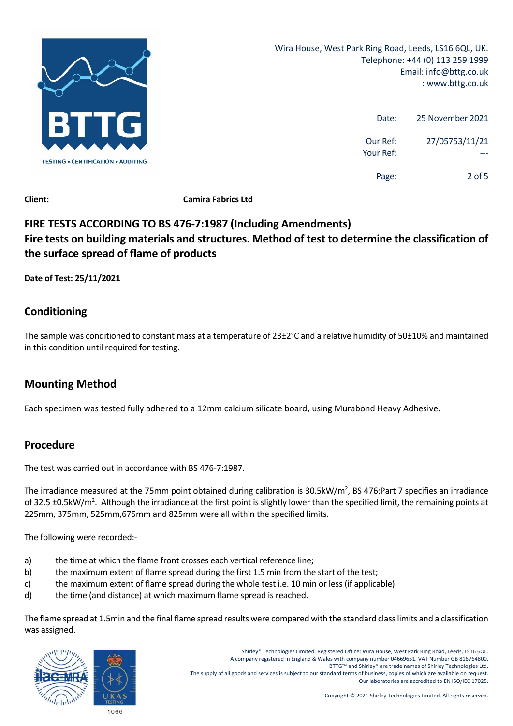

| 25 November 2021 | Date:                 |
|------------------|-----------------------|
| 27/05753/11/21   | Our Ref:<br>Your Ref: |
| 2 of 5           | Page:                 |

**Client: Camira Fabrics Ltd**

### **FIRE TESTS ACCORDING TO BS 476‐7:1987 (Including Amendments) Fire tests on building materials and structures. Method of test to determine the classification of the surface spread of flame of products**

**Date of Test: 25/11/2021** 

#### **Conditioning**

The sample was conditioned to constant mass at a temperature of 23±2°C and a relative humidity of 50±10% and maintained in this condition until required for testing.

### **Mounting Method**

Each specimen was tested fully adhered to a 12mm calcium silicate board, using Murabond Heavy Adhesive.

#### **Procedure**

The test was carried out in accordance with BS 476‐7:1987.

The irradiance measured at the 75mm point obtained during calibration is 30.5kW/m<sup>2</sup>, BS 476:Part 7 specifies an irradiance of 32.5 ±0.5kW/m<sup>2</sup>. Although the irradiance at the first point is slightly lower than the specified limit, the remaining points at 225mm, 375mm, 525mm,675mm and 825mm were all within the specified limits.

The following were recorded:‐

- a) the time at which the flame front crosses each vertical reference line;
- b) the maximum extent of flame spread during the first 1.5 min from the start of the test;
- c) the maximum extent of flame spread during the whole test i.e. 10 min or less (if applicable)
- d) the time (and distance) at which maximum flame spread is reached.

The flame spread at 1.5min and the final flame spread results were compared with the standard class limits and a classification was assigned.

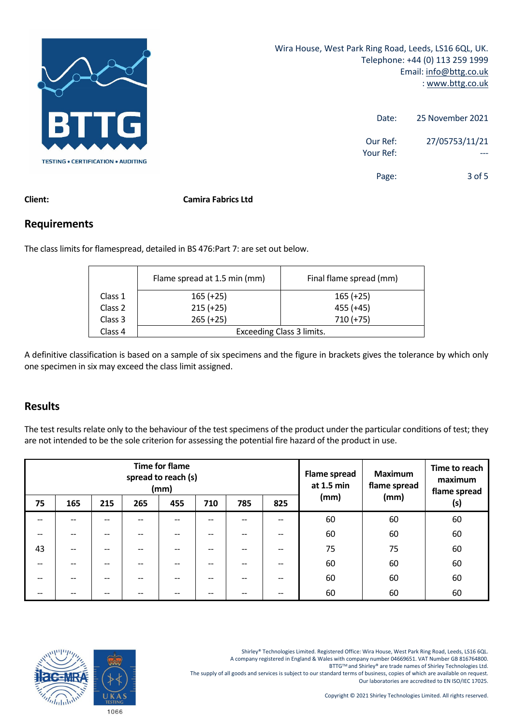

| 25 November 2021 | Date:                 |
|------------------|-----------------------|
| 27/05753/11/21   | Our Ref:<br>Your Ref: |
| $3$ of 5         | Page:                 |

#### **Client: Camira Fabrics Ltd**

#### **Requirements**

The class limits for flamespread, detailed in BS 476:Part 7: are set out below.

|         | Flame spread at 1.5 min (mm)     | Final flame spread (mm) |  |
|---------|----------------------------------|-------------------------|--|
| Class 1 | $165 (+25)$                      | $165 (+25)$             |  |
| Class 2 | $215 (+25)$                      | $455 (+45)$             |  |
| Class 3 | $265 (+25)$                      | $710 (+75)$             |  |
| Class 4 | <b>Exceeding Class 3 limits.</b> |                         |  |

A definitive classification is based on a sample of six specimens and the figure in brackets gives the tolerance by which only one specimen in six may exceed the class limit assigned.

#### **Results**

The test results relate only to the behaviour of the test specimens of the product under the particular conditions of test; they are not intended to be the sole criterion for assessing the potential fire hazard of the product in use.

| <b>Time for flame</b><br>spread to reach (s)<br>(mm) |     |     |     |       |       | <b>Flame spread</b><br>at 1.5 min |     |              | <b>Maximum</b><br>flame spread |    |
|------------------------------------------------------|-----|-----|-----|-------|-------|-----------------------------------|-----|--------------|--------------------------------|----|
| 75                                                   | 165 | 215 | 265 | 455   | 710   | 785                               | 825 | (mm)<br>(mm) | flame spread<br>(s)            |    |
|                                                      |     | --  | --  | $- -$ | --    | --                                | --  | 60           | 60                             | 60 |
| $- -$                                                |     |     | --  | $-$   |       |                                   | --  | 60           | 60                             | 60 |
| 43                                                   |     | --  | --  | $- -$ | --    | --                                | --  | 75           | 75                             | 60 |
| $\hspace{0.05cm}$                                    |     | $-$ | --  | $- -$ | $- -$ | --                                | --  | 60           | 60                             | 60 |
| --                                                   |     | $-$ | --  | $- -$ | $- -$ | --                                | --  | 60           | 60                             | 60 |
| --                                                   |     | --  | --  | --    |       |                                   | --  | 60           | 60                             | 60 |

Shirley® Technologies Limited. Registered Office: Wira House, West Park Ring Road, Leeds, LS16 6QL.

A company registered in England & Wales with company number 04669651. VAT Number GB 816764800.

BTTG™ and Shirley® are trade names of Shirley Technologies Ltd.

The supply of all goods and services is subject to our standard terms of business, copies of which are available on request. Our laboratories are accredited to EN ISO/IEC 17025.

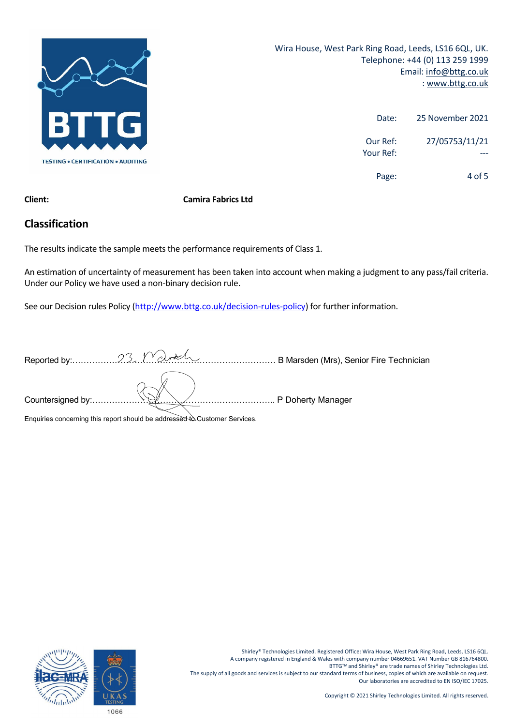

Wira House, West Park Ring Road, Leeds, LS16 6QL, UK. Telephone: +44 (0) 113 259 1999 Email: info@bttg.co.uk : www.bttg.co.uk

| 25 November 2021 | Date:                 |
|------------------|-----------------------|
| 27/05753/11/21   | Our Ref:<br>Your Ref: |
| 4 of 5           | Page:                 |

#### **Client: Camira Fabrics Ltd**

#### **Classification**

The results indicate the sample meets the performance requirements of Class 1.

An estimation of uncertainty of measurement has been taken into account when making a judgment to any pass/fail criteria. Under our Policy we have used a non‐binary decision rule.

See our Decision rules Policy (http://www.bttg.co.uk/decision-rules-policy) for further information.

| Enquiries concerning this report should be addressed to Customer Services. |  |
|----------------------------------------------------------------------------|--|